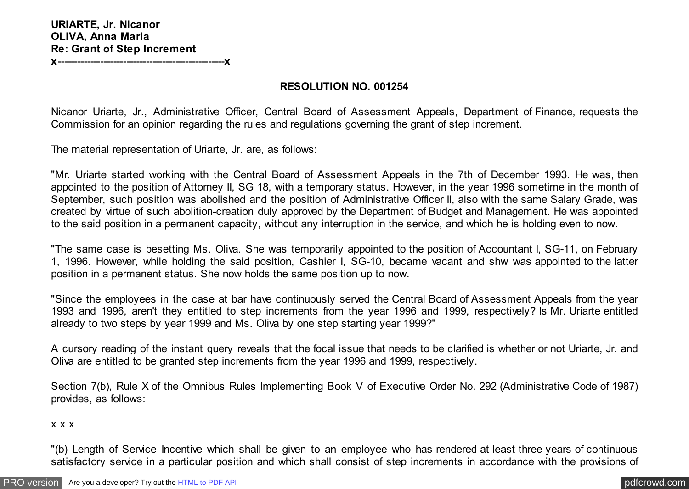**x---------------------------------------------------x**

## **RESOLUTION NO. 001254**

Nicanor Uriarte, Jr., Administrative Officer, Central Board of Assessment Appeals, Department of Finance, requests the Commission for an opinion regarding the rules and regulations governing the grant of step increment.

The material representation of Uriarte, Jr. are, as follows:

"Mr. Uriarte started working with the Central Board of Assessment Appeals in the 7th of December 1993. He was, then appointed to the position of Attorney II, SG 18, with a temporary status. However, in the year 1996 sometime in the month of September, such position was abolished and the position of Administrative Officer II, also with the same Salary Grade, was created by virtue of such abolition-creation duly approved by the Department of Budget and Management. He was appointed to the said position in a permanent capacity, without any interruption in the service, and which he is holding even to now.

"The same case is besetting Ms. Oliva. She was temporarily appointed to the position of Accountant I, SG-11, on February 1, 1996. However, while holding the said position, Cashier I, SG-10, became vacant and shw was appointed to the latter position in a permanent status. She now holds the same position up to now.

"Since the employees in the case at bar have continuously served the Central Board of Assessment Appeals from the year 1993 and 1996, aren't they entitled to step increments from the year 1996 and 1999, respectively? Is Mr. Uriarte entitled already to two steps by year 1999 and Ms. Oliva by one step starting year 1999?"

A cursory reading of the instant query reveals that the focal issue that needs to be clarified is whether or not Uriarte, Jr. and Oliva are entitled to be granted step increments from the year 1996 and 1999, respectively.

Section 7(b), Rule X of the Omnibus Rules Implementing Book V of Executive Order No. 292 (Administrative Code of 1987) provides, as follows:

## x x x

"(b) Length of Service Incentive which shall be given to an employee who has rendered at least three years of continuous satisfactory service in a particular position and which shall consist of step increments in accordance with the provisions of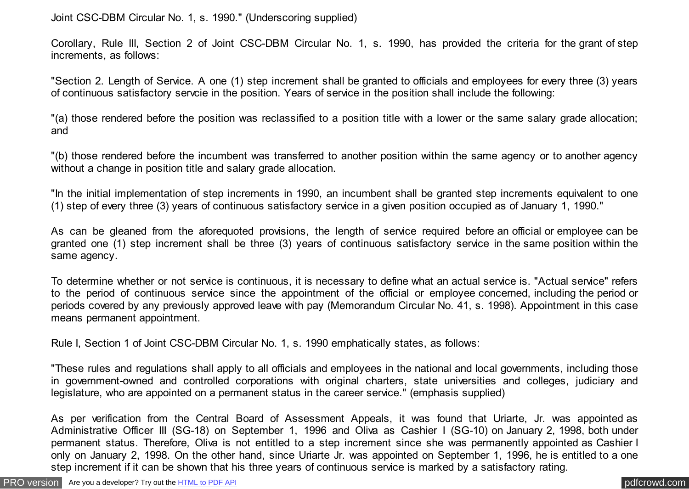Joint CSC-DBM Circular No. 1, s. 1990." (Underscoring supplied)

Corollary, Rule III, Section 2 of Joint CSC-DBM Circular No. 1, s. 1990, has provided the criteria for the grant of step increments, as follows:

"Section 2. Length of Service. A one (1) step increment shall be granted to officials and employees for every three (3) years of continuous satisfactory servcie in the position. Years of service in the position shall include the following:

"(a) those rendered before the position was reclassified to a position title with a lower or the same salary grade allocation; and

"(b) those rendered before the incumbent was transferred to another position within the same agency or to another agency without a change in position title and salary grade allocation.

"In the initial implementation of step increments in 1990, an incumbent shall be granted step increments equivalent to one (1) step of every three (3) years of continuous satisfactory service in a given position occupied as of January 1, 1990."

As can be gleaned from the aforequoted provisions, the length of service required before an official or employee can be granted one (1) step increment shall be three (3) years of continuous satisfactory service in the same position within the same agency.

To determine whether or not service is continuous, it is necessary to define what an actual service is. "Actual service" refers to the period of continuous service since the appointment of the official or employee concerned, including the period or periods covered by any previously approved leave with pay (Memorandum Circular No. 41, s. 1998). Appointment in this case means permanent appointment.

Rule I, Section 1 of Joint CSC-DBM Circular No. 1, s. 1990 emphatically states, as follows:

"These rules and regulations shall apply to all officials and employees in the national and local governments, including those in government-owned and controlled corporations with original charters, state universities and colleges, judiciary and legislature, who are appointed on a permanent status in the career service." (emphasis supplied)

As per verification from the Central Board of Assessment Appeals, it was found that Uriarte, Jr. was appointed as Administrative Officer III (SG-18) on September 1, 1996 and Oliva as Cashier I (SG-10) on January 2, 1998, both under permanent status. Therefore, Oliva is not entitled to a step increment since she was permanently appointed as Cashier I only on January 2, 1998. On the other hand, since Uriarte Jr. was appointed on September 1, 1996, he is entitled to a one step increment if it can be shown that his three years of continuous service is marked by a satisfactory rating.